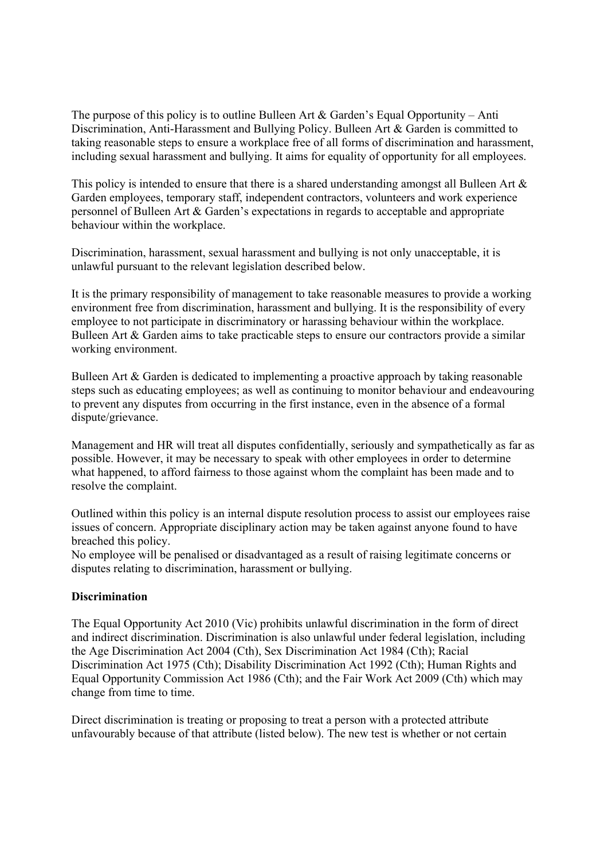The purpose of this policy is to outline Bulleen Art  $\&$  Garden's Equal Opportunity – Anti Discrimination, Anti-Harassment and Bullying Policy. Bulleen Art & Garden is committed to taking reasonable steps to ensure a workplace free of all forms of discrimination and harassment, including sexual harassment and bullying. It aims for equality of opportunity for all employees.

This policy is intended to ensure that there is a shared understanding amongst all Bulleen Art & Garden employees, temporary staff, independent contractors, volunteers and work experience personnel of Bulleen Art & Garden's expectations in regards to acceptable and appropriate behaviour within the workplace.

Discrimination, harassment, sexual harassment and bullying is not only unacceptable, it is unlawful pursuant to the relevant legislation described below.

It is the primary responsibility of management to take reasonable measures to provide a working environment free from discrimination, harassment and bullying. It is the responsibility of every employee to not participate in discriminatory or harassing behaviour within the workplace. Bulleen Art & Garden aims to take practicable steps to ensure our contractors provide a similar working environment.

Bulleen Art & Garden is dedicated to implementing a proactive approach by taking reasonable steps such as educating employees; as well as continuing to monitor behaviour and endeavouring to prevent any disputes from occurring in the first instance, even in the absence of a formal dispute/grievance.

Management and HR will treat all disputes confidentially, seriously and sympathetically as far as possible. However, it may be necessary to speak with other employees in order to determine what happened, to afford fairness to those against whom the complaint has been made and to resolve the complaint.

Outlined within this policy is an internal dispute resolution process to assist our employees raise issues of concern. Appropriate disciplinary action may be taken against anyone found to have breached this policy.

No employee will be penalised or disadvantaged as a result of raising legitimate concerns or disputes relating to discrimination, harassment or bullying.

# **Discrimination**

The Equal Opportunity Act 2010 (Vic) prohibits unlawful discrimination in the form of direct and indirect discrimination. Discrimination is also unlawful under federal legislation, including the Age Discrimination Act 2004 (Cth), Sex Discrimination Act 1984 (Cth); Racial Discrimination Act 1975 (Cth); Disability Discrimination Act 1992 (Cth); Human Rights and Equal Opportunity Commission Act 1986 (Cth); and the Fair Work Act 2009 (Cth) which may change from time to time.

Direct discrimination is treating or proposing to treat a person with a protected attribute unfavourably because of that attribute (listed below). The new test is whether or not certain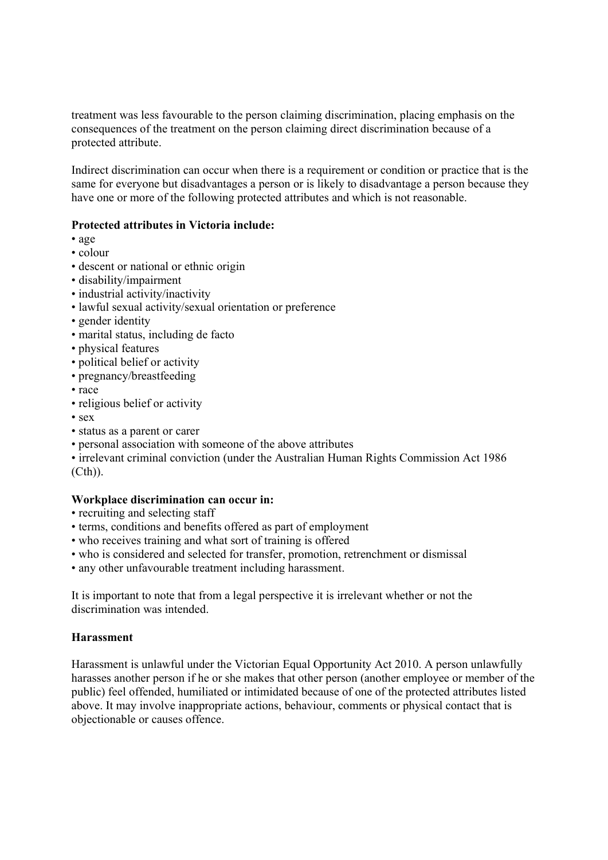treatment was less favourable to the person claiming discrimination, placing emphasis on the consequences of the treatment on the person claiming direct discrimination because of a protected attribute.

Indirect discrimination can occur when there is a requirement or condition or practice that is the same for everyone but disadvantages a person or is likely to disadvantage a person because they have one or more of the following protected attributes and which is not reasonable.

# **Protected attributes in Victoria include:**

- age
- colour
- descent or national or ethnic origin
- disability/impairment
- industrial activity/inactivity
- lawful sexual activity/sexual orientation or preference
- gender identity
- marital status, including de facto
- physical features
- political belief or activity
- pregnancy/breastfeeding
- race
- religious belief or activity
- sex
- status as a parent or carer
- personal association with someone of the above attributes

• irrelevant criminal conviction (under the Australian Human Rights Commission Act 1986 (Cth)).

# **Workplace discrimination can occur in:**

- recruiting and selecting staff
- terms, conditions and benefits offered as part of employment
- who receives training and what sort of training is offered
- who is considered and selected for transfer, promotion, retrenchment or dismissal
- any other unfavourable treatment including harassment.

It is important to note that from a legal perspective it is irrelevant whether or not the discrimination was intended.

# **Harassment**

Harassment is unlawful under the Victorian Equal Opportunity Act 2010. A person unlawfully harasses another person if he or she makes that other person (another employee or member of the public) feel offended, humiliated or intimidated because of one of the protected attributes listed above. It may involve inappropriate actions, behaviour, comments or physical contact that is objectionable or causes offence.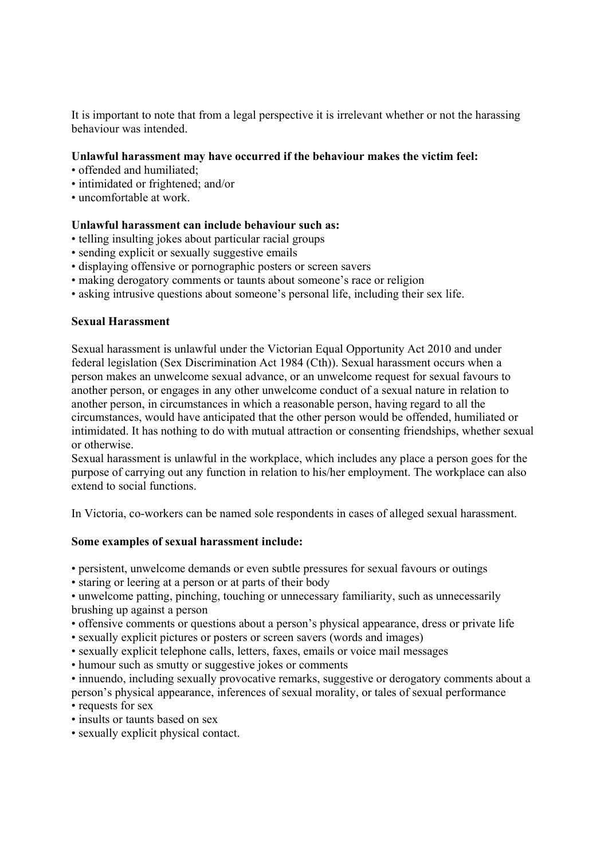It is important to note that from a legal perspective it is irrelevant whether or not the harassing behaviour was intended.

# **Unlawful harassment may have occurred if the behaviour makes the victim feel:**

- offended and humiliated;
- intimidated or frightened; and/or
- uncomfortable at work.

#### **Unlawful harassment can include behaviour such as:**

- telling insulting jokes about particular racial groups
- sending explicit or sexually suggestive emails
- displaying offensive or pornographic posters or screen savers
- making derogatory comments or taunts about someone's race or religion
- asking intrusive questions about someone's personal life, including their sex life.

#### **Sexual Harassment**

Sexual harassment is unlawful under the Victorian Equal Opportunity Act 2010 and under federal legislation (Sex Discrimination Act 1984 (Cth)). Sexual harassment occurs when a person makes an unwelcome sexual advance, or an unwelcome request for sexual favours to another person, or engages in any other unwelcome conduct of a sexual nature in relation to another person, in circumstances in which a reasonable person, having regard to all the circumstances, would have anticipated that the other person would be offended, humiliated or intimidated. It has nothing to do with mutual attraction or consenting friendships, whether sexual or otherwise.

Sexual harassment is unlawful in the workplace, which includes any place a person goes for the purpose of carrying out any function in relation to his/her employment. The workplace can also extend to social functions.

In Victoria, co-workers can be named sole respondents in cases of alleged sexual harassment.

#### **Some examples of sexual harassment include:**

- persistent, unwelcome demands or even subtle pressures for sexual favours or outings
- staring or leering at a person or at parts of their body

• unwelcome patting, pinching, touching or unnecessary familiarity, such as unnecessarily brushing up against a person

- offensive comments or questions about a person's physical appearance, dress or private life
- sexually explicit pictures or posters or screen savers (words and images)
- sexually explicit telephone calls, letters, faxes, emails or voice mail messages
- humour such as smutty or suggestive jokes or comments
- innuendo, including sexually provocative remarks, suggestive or derogatory comments about a person's physical appearance, inferences of sexual morality, or tales of sexual performance • requests for sex
- insults or taunts based on sex
- sexually explicit physical contact.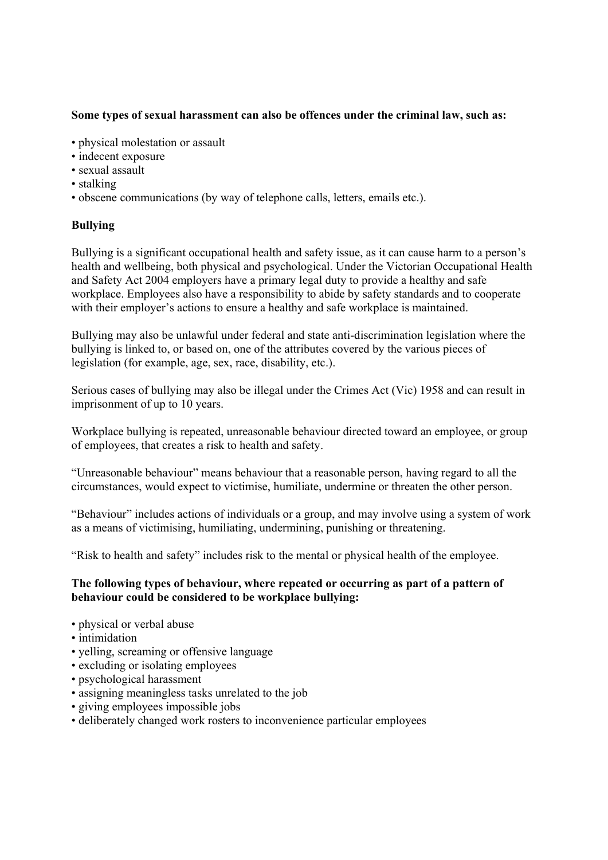# **Some types of sexual harassment can also be offences under the criminal law, such as:**

- physical molestation or assault
- indecent exposure
- sexual assault
- stalking
- obscene communications (by way of telephone calls, letters, emails etc.).

# **Bullying**

Bullying is a significant occupational health and safety issue, as it can cause harm to a person's health and wellbeing, both physical and psychological. Under the Victorian Occupational Health and Safety Act 2004 employers have a primary legal duty to provide a healthy and safe workplace. Employees also have a responsibility to abide by safety standards and to cooperate with their employer's actions to ensure a healthy and safe workplace is maintained.

Bullying may also be unlawful under federal and state anti-discrimination legislation where the bullying is linked to, or based on, one of the attributes covered by the various pieces of legislation (for example, age, sex, race, disability, etc.).

Serious cases of bullying may also be illegal under the Crimes Act (Vic) 1958 and can result in imprisonment of up to 10 years.

Workplace bullying is repeated, unreasonable behaviour directed toward an employee, or group of employees, that creates a risk to health and safety.

"Unreasonable behaviour" means behaviour that a reasonable person, having regard to all the circumstances, would expect to victimise, humiliate, undermine or threaten the other person.

"Behaviour" includes actions of individuals or a group, and may involve using a system of work as a means of victimising, humiliating, undermining, punishing or threatening.

"Risk to health and safety" includes risk to the mental or physical health of the employee.

# **The following types of behaviour, where repeated or occurring as part of a pattern of behaviour could be considered to be workplace bullying:**

- physical or verbal abuse
- intimidation
- yelling, screaming or offensive language
- excluding or isolating employees
- psychological harassment
- assigning meaningless tasks unrelated to the job
- giving employees impossible jobs
- deliberately changed work rosters to inconvenience particular employees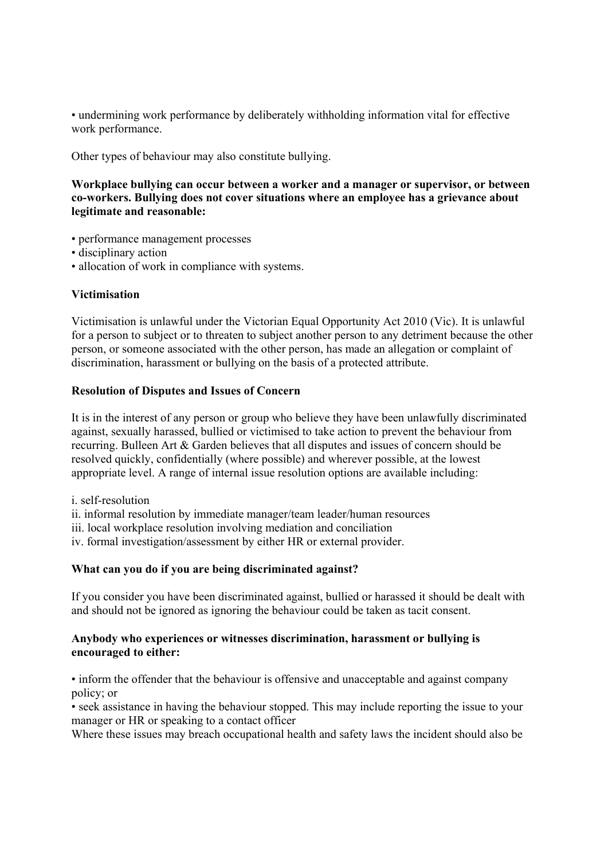• undermining work performance by deliberately withholding information vital for effective work performance.

Other types of behaviour may also constitute bullying.

**Workplace bullying can occur between a worker and a manager or supervisor, or between co-workers. Bullying does not cover situations where an employee has a grievance about legitimate and reasonable:**

- performance management processes
- disciplinary action
- allocation of work in compliance with systems.

#### **Victimisation**

Victimisation is unlawful under the Victorian Equal Opportunity Act 2010 (Vic). It is unlawful for a person to subject or to threaten to subject another person to any detriment because the other person, or someone associated with the other person, has made an allegation or complaint of discrimination, harassment or bullying on the basis of a protected attribute.

#### **Resolution of Disputes and Issues of Concern**

It is in the interest of any person or group who believe they have been unlawfully discriminated against, sexually harassed, bullied or victimised to take action to prevent the behaviour from recurring. Bulleen Art & Garden believes that all disputes and issues of concern should be resolved quickly, confidentially (where possible) and wherever possible, at the lowest appropriate level. A range of internal issue resolution options are available including:

i. self-resolution

ii. informal resolution by immediate manager/team leader/human resources

iii. local workplace resolution involving mediation and conciliation

iv. formal investigation/assessment by either HR or external provider.

#### **What can you do if you are being discriminated against?**

If you consider you have been discriminated against, bullied or harassed it should be dealt with and should not be ignored as ignoring the behaviour could be taken as tacit consent.

#### **Anybody who experiences or witnesses discrimination, harassment or bullying is encouraged to either:**

• inform the offender that the behaviour is offensive and unacceptable and against company policy; or

• seek assistance in having the behaviour stopped. This may include reporting the issue to your manager or HR or speaking to a contact officer

Where these issues may breach occupational health and safety laws the incident should also be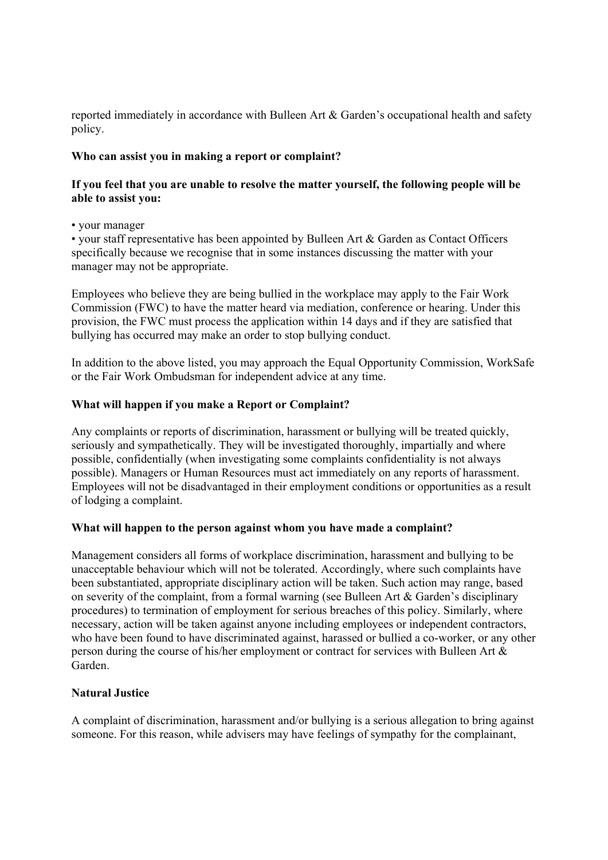reported immediately in accordance with Bulleen Art & Garden's occupational health and safety policy.

# **Who can assist you in making a report or complaint?**

# **If you feel that you are unable to resolve the matter yourself, the following people will be able to assist you:**

• your manager

• your staff representative has been appointed by Bulleen Art & Garden as Contact Officers specifically because we recognise that in some instances discussing the matter with your manager may not be appropriate.

Employees who believe they are being bullied in the workplace may apply to the Fair Work Commission (FWC) to have the matter heard via mediation, conference or hearing. Under this provision, the FWC must process the application within 14 days and if they are satisfied that bullying has occurred may make an order to stop bullying conduct.

In addition to the above listed, you may approach the Equal Opportunity Commission, WorkSafe or the Fair Work Ombudsman for independent advice at any time.

# **What will happen if you make a Report or Complaint?**

Any complaints or reports of discrimination, harassment or bullying will be treated quickly, seriously and sympathetically. They will be investigated thoroughly, impartially and where possible, confidentially (when investigating some complaints confidentiality is not always possible). Managers or Human Resources must act immediately on any reports of harassment. Employees will not be disadvantaged in their employment conditions or opportunities as a result of lodging a complaint.

# **What will happen to the person against whom you have made a complaint?**

Management considers all forms of workplace discrimination, harassment and bullying to be unacceptable behaviour which will not be tolerated. Accordingly, where such complaints have been substantiated, appropriate disciplinary action will be taken. Such action may range, based on severity of the complaint, from a formal warning (see Bulleen Art & Garden's disciplinary procedures) to termination of employment for serious breaches of this policy. Similarly, where necessary, action will be taken against anyone including employees or independent contractors, who have been found to have discriminated against, harassed or bullied a co-worker, or any other person during the course of his/her employment or contract for services with Bulleen Art & Garden.

# **Natural Justice**

A complaint of discrimination, harassment and/or bullying is a serious allegation to bring against someone. For this reason, while advisers may have feelings of sympathy for the complainant,